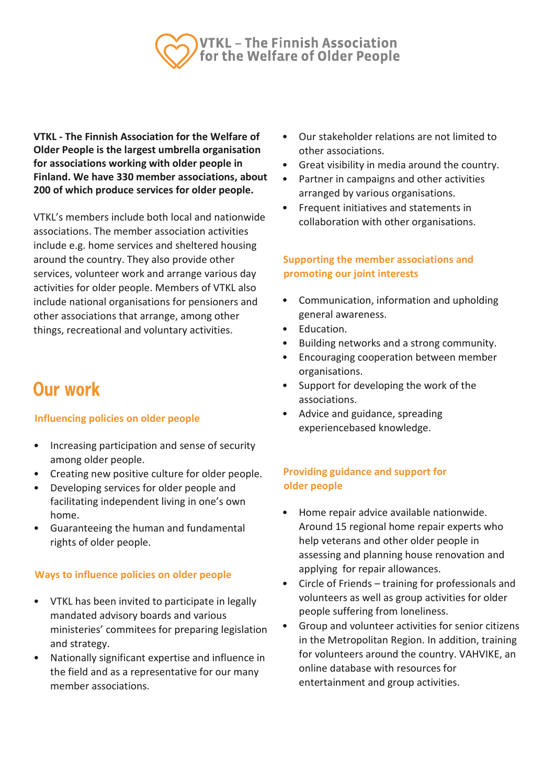

**VTKL - The Finnish Association for the Welfare of Older People is the largest umbrella organisation for associations working with older people in Finland. We have 330 member associations, about 200 of which produce services for older people.** 

VTKL's members include both local and nationwide associations. The member association activities include e.g. home services and sheltered housing around the country. They also provide other services, volunteer work and arrange various day activities for older people. Members of VTKL also include national organisations for pensioners and other associations that arrange, among other things, recreational and voluntary activities.

# Our work

# **Influencing policies on older people**

- Increasing participation and sense of security among older people.
- Creating new positive culture for older people.
- Developing services for older people and facilitating independent living in one's own home.
- Guaranteeing the human and fundamental rights of older people.

### **Ways to influence policies on older people**

- VTKL has been invited to participate in legally mandated advisory boards and various ministeries' commitees for preparing legislation and strategy.
- Nationally significant expertise and influence in the field and as a representative for our many member associations.
- Our stakeholder relations are not limited to other associations.
- Great visibility in media around the country.
- Partner in campaigns and other activities arranged by various organisations.
- Frequent initiatives and statements in collaboration with other organisations.

# **Supporting the member associations and promoting our joint interests**

- Communication, information and upholding general awareness.
- Education.
- Building networks and a strong community.
- Encouraging cooperation between member organisations.
- Support for developing the work of the associations.
- Advice and guidance, spreading experiencebased knowledge.

# **Providing guidance and support for older people**

- Home repair advice available nationwide. Around 15 regional home repair experts who help veterans and other older people in assessing and planning house renovation and applying for repair allowances.
- Circle of Friends training for professionals and volunteers as well as group activities for older people suffering from loneliness.
- Group and volunteer activities for senior citizens in the Metropolitan Region. In addition, training for volunteers around the country. VAHVIKE, an online database with resources for entertainment and group activities.